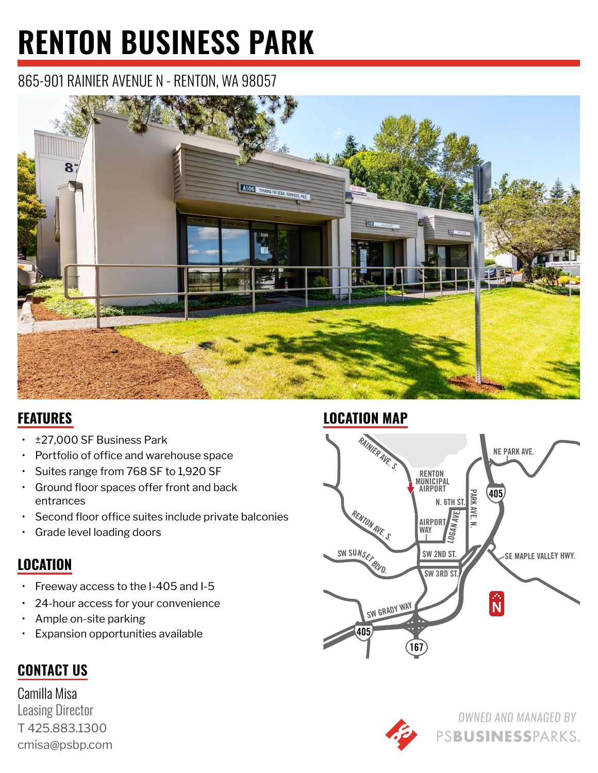# **RENTON BUSINESS PARK**

## 865-901 RAINIER AVENUE N - RENTON, WA 98057



#### **FEATURES**

- ±27,000 SF Business Park
- Portfolio of office and warehouse space
- Suites range from 768 SF to 1,920 SF
- Ground floor spaces offer front and back entrances
- Second floor office suites include private balconies
- Grade level loading doors

### **LOCATION**

- Freeway access to the I-405 and I-5
- 24-hour access for your convenience
- Ample on-site parking
- Expansion opportunities available

### **CONTACT US**

Camilla Misa Leasing Director T 425.883.1300 cmisa@psbp.com

#### **LOCATION MAP**





PSBUSINESSPARKS.